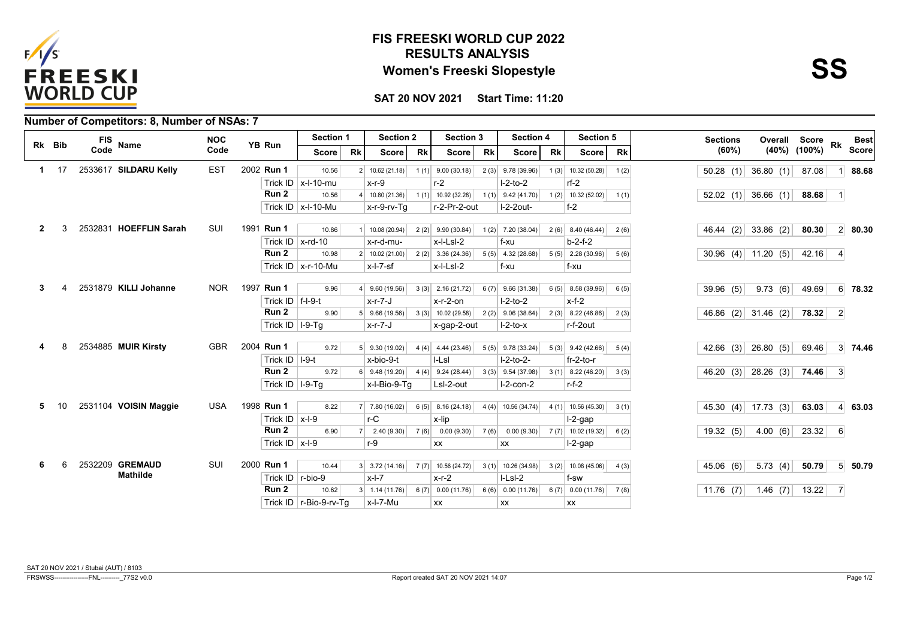

## **RESULTS ANALYSIS FIS FREESKI WORLD CUP 2022 Women's Freeski Slopestyle**

**Score**

**SAT 20 NOV 2021 Start Time: 11:20**

| Rk Bib |              |                                    | <b>NOC</b> |                      | Section 1                |           | <b>Section 2</b>                                                             |      | Section 3            |           | Section 4            |      | Section 5                 |      | <b>Sections</b> |                       | Overall Score Rk |                | <b>Best</b>    |
|--------|--------------|------------------------------------|------------|----------------------|--------------------------|-----------|------------------------------------------------------------------------------|------|----------------------|-----------|----------------------|------|---------------------------|------|-----------------|-----------------------|------------------|----------------|----------------|
|        |              | FIS<br>Code<br>Name                | Code       | YB Run               | <b>Score</b>             | <b>Rk</b> | <b>Rk</b><br><b>Rk</b><br><b>Rk</b><br><b>Score</b><br><b>Score</b><br>Score |      | Score                | <b>Rk</b> | (60%)                |      | $(40\%)$ $(100\%)$        |      | <b>Score</b>    |                       |                  |                |                |
|        | $1 \quad 17$ | 2533617 SILDARU Kelly              | <b>EST</b> | 2002 Run 1           | 10.56                    |           | $2 \mid 10.62(21.18)$                                                        |      | $1(1)$ 9.00 (30.18)  |           | $2(3)$ 9.78 (39.96)  |      | $1(3)$ 10.32 (50.28)      | 1(2) |                 | $50.28$ (1) 36.80 (1) | 87.08            |                | 88.68          |
|        |              |                                    |            |                      | Trick ID $x$ -I-10-mu    |           | $x-r-9$                                                                      |      | $r-2$                |           | $I-2-to-2$           |      | $rf-2$                    |      |                 |                       |                  |                |                |
|        |              |                                    |            | Run 2                | 10.56                    |           | $4 \mid 10.80(21.36)$                                                        |      | $1(1)$ 10.92 (32.28) |           | $1(1)$ 9.42 (41.70)  |      | $1(2)$ 10.32 (52.02)      | 1(1) |                 | $52.02$ (1) 36.66 (1) | 88.68            |                |                |
|        |              |                                    |            |                      | Trick ID $x$ -I-10-Mu    |           | x-r-9-rv-Tq                                                                  |      | r-2-Pr-2-out         |           | $I-2-2$ out-         |      | $f - 2$                   |      |                 |                       |                  |                |                |
|        |              | 2532831 HOEFFLIN Sarah             | SUI        | 1991 Run 1           | 10.86                    |           | 10.08 (20.94)                                                                | 2(2) | 9.90(30.84)          |           | $1(2)$ 7.20 (38.04)  | 2(6) | 8.40 (46.44)              | 2(6) |                 | 46.44 (2) 33.86 (2)   | 80.30            |                | $2 \mid 80.30$ |
|        |              |                                    |            |                      | Trick ID $x$ -rd-10      |           | x-r-d-mu-                                                                    |      | x-l-Lsl-2            |           | f-xu                 |      | $b-2-f-2$                 |      |                 |                       |                  |                |                |
|        |              |                                    |            | Run 2                | 10.98                    |           | $2 \mid 10.02(21.00) \mid$                                                   |      | $2(2)$ 3.36 (24.36)  |           | $5(5)$ 4.32 (28.68)  |      | $5(5)$ 2.28 (30.96)       | 5(6) |                 | 30.96 (4) 11.20 (5)   | 42.16            | $\vert$        |                |
|        |              |                                    |            |                      | Trick ID $x$ -r-10-Mu    |           | $x$ -l-7-sf                                                                  |      | x-l-Lsl-2            |           | f-xu                 |      | f-xu                      |      |                 |                       |                  |                |                |
|        |              |                                    |            |                      |                          |           |                                                                              |      |                      |           |                      |      |                           |      |                 |                       |                  |                |                |
|        |              | 2531879 KILLI Johanne              | <b>NOR</b> | 1997 Run 1           | 9.96                     |           | 9.60 (19.56)                                                                 |      | $3(3)$ 2.16 (21.72)  |           | $6(7)$ 9.66 (31.38)  |      | $6(5)$ 8.58 (39.96)       | 6(5) | 39.96(5)        | 9.73(6)               | 49.69            |                | 6 78.32        |
|        |              |                                    |            | Trick ID $ f-1-9-t $ |                          |           | x-r-7-J                                                                      |      | $x-r-2$ -on          |           | $I-2-to-2$           |      | $x-f-2$                   |      |                 |                       |                  |                |                |
|        |              |                                    |            | Run 2                | 9.90                     |           | $5$ 9.66 (19.56)                                                             |      | 3(3) 10.02(29.58)    |           | $2(2)$ 9.06 (38.64)  |      | $2(3)$ 8.22 (46.86)       | 2(3) |                 | 46.86 (2) 31.46 (2)   | 78.32            | $\vert$ 2      |                |
|        |              |                                    |            | Trick ID   I-9-Tg    |                          |           | x-r-7-J                                                                      |      | x-gap-2-out          |           | $I-2-to-x$           |      | r-f-2out                  |      |                 |                       |                  |                |                |
|        |              | 2534885 MUIR Kirsty                | <b>GBR</b> | 2004 Run 1           | 9.72                     |           | $5$ 9.30 (19.02)                                                             |      | $4(4)$ 4.44 (23.46)  |           | $5(5)$ 9.78 (33.24)  |      | $5(3)$ 9.42 (42.66) 5 (4) |      |                 | 42.66 (3) 26.80 (5)   | 69.46            |                | 3 74.46        |
|        |              |                                    |            | Trick ID   I-9-t     |                          |           | x-bio-9-t                                                                    |      | I-LsI                |           | $I-2-to-2-$          |      | $fr-2-to-r$               |      |                 |                       |                  |                |                |
|        |              |                                    |            | Run 2                | 9.72                     |           | $6$ 9.48 (19.20)                                                             |      | $4(4)$ 9.24 (28.44)  |           | $3(3)$ 9.54 (37.98)  |      | 3(1) 8.22(46.20)          | 3(3) |                 | 46.20 (3) 28.26 (3)   | 74.46            | $\vert$ 3      |                |
|        |              |                                    |            | Trick ID   I-9-Tq    |                          |           | x-l-Bio-9-Tq                                                                 |      | LsI-2-out            |           | $l-2$ -con-2         |      | $r-f-2$                   |      |                 |                       |                  |                |                |
| 5.     | 10           | 2531104 VOISIN Maggie              | USA        | 1998 Run 1           | 8.22                     |           | $7$ 7.80 (16.02)                                                             |      | $6(5)$ 8.16 (24.18)  |           | $4(4)$ 10.56 (34.74) |      | $4(1)$ 10.56 (45.30)      | 3(1) |                 | 45.30 (4) 17.73 (3)   | 63.03            |                | $4 \mid 63.03$ |
|        |              |                                    |            | Trick ID $ x-1-9$    |                          |           | $r-C$                                                                        |      | x-lip                |           |                      |      | $l-2$ -gap                |      |                 |                       |                  |                |                |
|        |              |                                    |            | Run 2                | 6.90                     |           | 2.40(9.30)                                                                   |      | $7(6)$ 0.00 (9.30)   |           | $7(6)$ 0.00 (9.30)   |      | $7(7)$ 10.02 (19.32)      | 6(2) | 19.32(5)        | 4.00(6)               | 23.32            | -6             |                |
|        |              |                                    |            | Trick ID $x-1-9$     |                          |           | $r-9$                                                                        |      | XX                   |           | XX                   |      | $l-2$ -gap                |      |                 |                       |                  |                |                |
|        |              |                                    |            |                      |                          |           |                                                                              |      |                      |           |                      |      |                           |      |                 |                       |                  |                |                |
|        |              | 2532209 GREMAUD<br><b>Mathilde</b> | SUI        | 2000 Run 1           | 10.44                    |           | $3 \mid 3.72(14.16)$                                                         |      | $7(7)$ 10.56 (24.72) |           | $3(1)$ 10.26 (34.98) |      | $3(2)$ 10.08 (45.06)      | 4(3) | 45.06(6)        | 5.73 (4)              | 50.79            |                | $5\,$ 50.79    |
|        |              |                                    |            | Trick ID   r-bio-9   |                          |           | $x-l-7$                                                                      |      | $x-r-2$              |           | LLsL2                |      | f-sw                      |      |                 |                       |                  |                |                |
|        |              |                                    |            | Run <sub>2</sub>     | 10.62                    |           | $3 \mid 1.14(11.76) \mid$                                                    |      | $6(7)$ 0.00 (11.76)  |           | $6(6)$ 0.00 (11.76)  |      | $6(7)$ 0.00 (11.76) 7 (8) |      | $11.76$ (7)     | 1.46(7)               | 13.22            | $\overline{7}$ |                |
|        |              |                                    |            |                      | Trick ID   r-Bio-9-rv-Tq |           | x-l-7-Mu                                                                     |      | <b>XX</b>            |           | XX                   |      | XX                        |      |                 |                       |                  |                |                |

## **Number of Competitors: 8, Number of NSAs: 7**